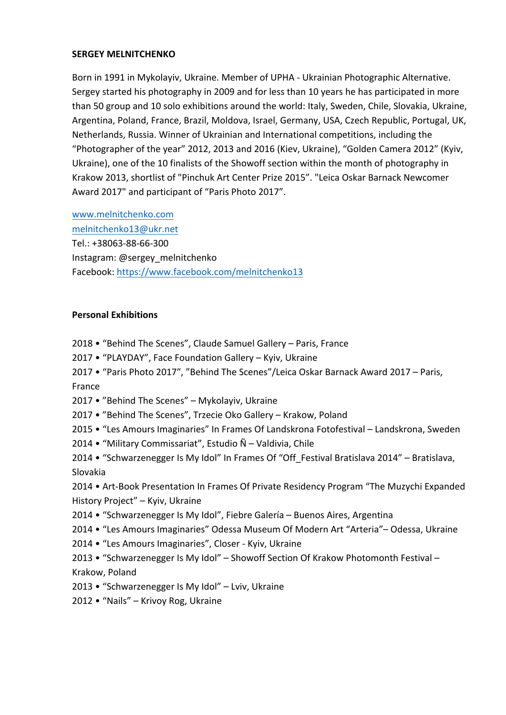### **SERGEY MELNITCHENKO**

Born in 1991 in Mykolayiv, Ukraine. Member of UPHA - Ukrainian Photographic Alternative. Sergey started his photography in 2009 and for less than 10 years he has participated in more than 50 group and 10 solo exhibitions around the world: Italy, Sweden, Chile, Slovakia, Ukraine, Argentina, Poland, France, Brazil, Moldova, Israel, Germany, USA, Czech Republic, Portugal, UK, Netherlands, Russia. Winner of Ukrainian and International competitions, including the "Photographer of the year" 2012, 2013 and 2016 (Kiev, Ukraine), "Golden Camera 2012" (Kyiv, Ukraine), one of the 10 finalists of the Showoff section within the month of photography in Krakow 2013, shortlist of "Pinchuk Art Center Prize 2015". "Leica Oskar Barnack Newcomer Award 2017" and participant of "Paris Photo 2017".

www.melnitchenko.com melnitchenko13@ukr.net Tel.: +38063-88-66-300 Instagram: @sergey\_melnitchenko Facebook: https://www.facebook.com/melnitchenko13

### **Personal Exhibitions**

- 2018 "Behind The Scenes", Claude Samuel Gallery Paris, France
- 2017 "PLAYDAY", Face Foundation Gallery Kyiv, Ukraine
- 2017 "Paris Photo 2017", "Behind The Scenes"/Leica Oskar Barnack Award 2017 Paris, France
- 2017 "Behind The Scenes" Mykolayiv, Ukraine
- 2017 "Behind The Scenes", Trzecie Oko Gallery Krakow, Poland
- 2015 "Les Amours Imaginaries" In Frames Of Landskrona Fotofestival Landskrona, Sweden
- 2014 "Military Commissariat", Estudio  $\tilde{N}$  Valdivia, Chile
- 2014 "Schwarzenegger Is My Idol" In Frames Of "Off\_Festival Bratislava 2014" Bratislava, Slovakia

2014 • Art-Book Presentation In Frames Of Private Residency Program "The Muzychi Expanded History Project" - Kyiv, Ukraine

- 2014 "Schwarzenegger Is My Idol", Fiebre Galería Buenos Aires, Argentina
- 2014 "Les Amours Imaginaries" Odessa Museum Of Modern Art "Arteria" Odessa, Ukraine
- 2014 "Les Amours Imaginaries", Closer Kyiv, Ukraine
- 2013 "Schwarzenegger Is My Idol" Showoff Section Of Krakow Photomonth Festival -Krakow, Poland
- 2013 "Schwarzenegger Is My Idol" Lviv, Ukraine
- 2012 "Nails" Krivoy Rog, Ukraine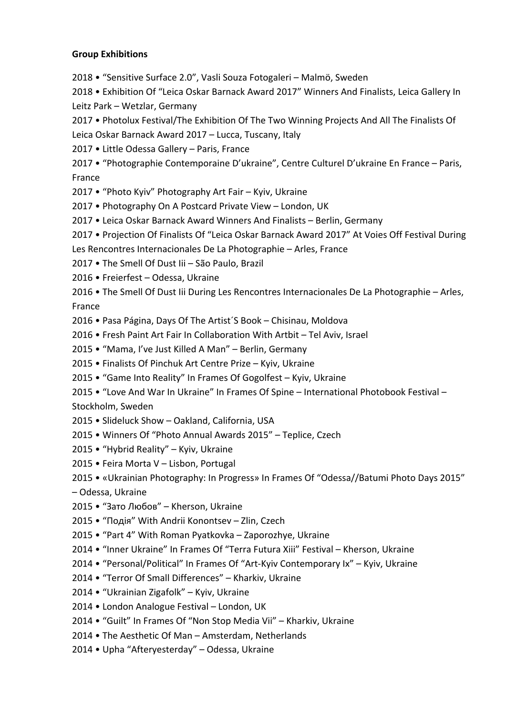### **Group Exhibitions**

2018 • "Sensitive Surface 2.0", Vasli Souza Fotogaleri - Malmö, Sweden

2018 • Exhibition Of "Leica Oskar Barnack Award 2017" Winners And Finalists, Leica Gallery In Leitz Park - Wetzlar, Germany

2017 • Photolux Festival/The Exhibition Of The Two Winning Projects And All The Finalists Of

Leica Oskar Barnack Award 2017 - Lucca, Tuscany, Italy

- 2017 Little Odessa Gallery Paris, France
- 2017 "Photographie Contemporaine D'ukraine", Centre Culturel D'ukraine En France Paris, France
- 2017 "Photo Kyiv" Photography Art Fair Kyiv, Ukraine
- 2017 Photography On A Postcard Private View London, UK
- 2017 Leica Oskar Barnack Award Winners And Finalists Berlin, Germany
- 2017 Projection Of Finalists Of "Leica Oskar Barnack Award 2017" At Voies Off Festival During
- Les Rencontres Internacionales De La Photographie Arles, France
- 2017 The Smell Of Dust Iii São Paulo, Brazil
- 2016 Freierfest Odessa, Ukraine

2016 • The Smell Of Dust lii During Les Rencontres Internacionales De La Photographie - Arles, France

- 2016 Pasa Página, Days Of The Artist'S Book Chisinau, Moldova
- 2016 Fresh Paint Art Fair In Collaboration With Artbit Tel Aviv, Israel
- 2015 "Mama, I've Just Killed A Man" Berlin, Germany
- 2015 Finalists Of Pinchuk Art Centre Prize Kyiv, Ukraine
- 2015 "Game Into Reality" In Frames Of Gogolfest Kyiv, Ukraine
- 2015 "Love And War In Ukraine" In Frames Of Spine International Photobook Festival -Stockholm, Sweden
- 2015 Slideluck Show Oakland, California, USA
- 2015 Winners Of "Photo Annual Awards 2015" Teplice, Czech
- 2015 "Hybrid Reality" Kyiv, Ukraine
- 2015 Feira Morta V Lisbon, Portugal
- 2015 «Ukrainian Photography: In Progress» In Frames Of "Odessa//Batumi Photo Days 2015" – Odessa, Ukraine
- 2015 "Зато Любов" Kherson, Ukraine
- 2015 "Подія" With Andrii Konontsev Zlin, Czech
- 2015 "Part 4" With Roman Pyatkovka Zaporozhye, Ukraine
- 2014 "Inner Ukraine" In Frames Of "Terra Futura Xiii" Festival Kherson, Ukraine
- 2014 "Personal/Political" In Frames Of "Art-Kyiv Contemporary Ix" Kyiv, Ukraine
- 2014 "Terror Of Small Differences" Kharkiv, Ukraine
- 2014 "Ukrainian Zigafolk" Kyiv, Ukraine
- 2014 London Analogue Festival London, UK
- 2014 "Guilt" In Frames Of "Non Stop Media Vii" Kharkiv, Ukraine
- 2014 The Aesthetic Of Man Amsterdam, Netherlands
- 2014 Upha "Afteryesterday" Odessa, Ukraine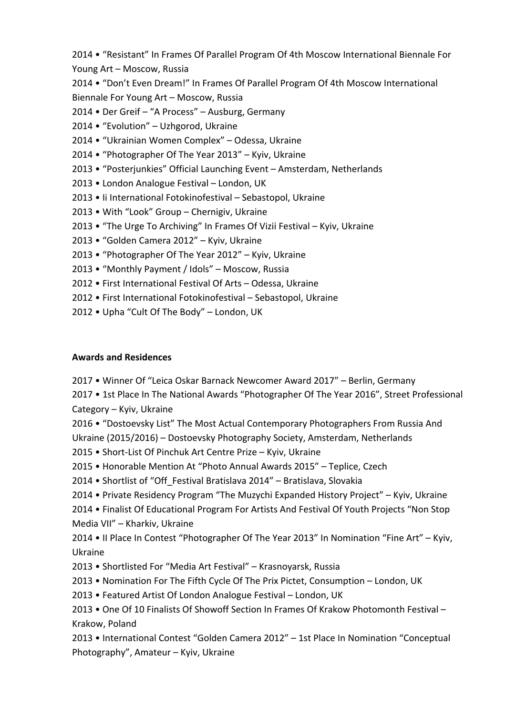2014 • "Resistant" In Frames Of Parallel Program Of 4th Moscow International Biennale For Young Art - Moscow, Russia

2014 • "Don't Even Dream!" In Frames Of Parallel Program Of 4th Moscow International Biennale For Young Art - Moscow, Russia

2014 • Der Greif – "A Process" – Ausburg, Germany

- 2014 "Evolution" Uzhgorod, Ukraine
- 2014 "Ukrainian Women Complex" Odessa, Ukraine

2014 • "Photographer Of The Year 2013" - Kyiv, Ukraine

- 2013 "Posterjunkies" Official Launching Event Amsterdam, Netherlands
- 2013 London Analogue Festival London, UK
- 2013 Ii International Fotokinofestival Sebastopol, Ukraine
- 2013 With "Look" Group Chernigiv, Ukraine
- 2013 "The Urge To Archiving" In Frames Of Vizii Festival Kyiv, Ukraine
- 2013 "Golden Camera 2012" Kyiv, Ukraine
- 2013 "Photographer Of The Year 2012" Kyiv, Ukraine
- 2013 "Monthly Payment / Idols" Moscow, Russia
- 2012 First International Festival Of Arts Odessa, Ukraine
- 2012 First International Fotokinofestival Sebastopol, Ukraine
- 2012 Upha "Cult Of The Body" London, UK

### **Awards and Residences**

2017 • Winner Of "Leica Oskar Barnack Newcomer Award 2017" - Berlin, Germany

2017 • 1st Place In The National Awards "Photographer Of The Year 2016", Street Professional Category – Kyiv, Ukraine

2016 • "Dostoevsky List" The Most Actual Contemporary Photographers From Russia And Ukraine (2015/2016) – Dostoevsky Photography Society, Amsterdam, Netherlands

2015 • Short-List Of Pinchuk Art Centre Prize – Kyiv, Ukraine

2015 • Honorable Mention At "Photo Annual Awards 2015" - Teplice, Czech

- 2014 Shortlist of "Off Festival Bratislava 2014" Bratislava, Slovakia
- 2014 Private Residency Program "The Muzychi Expanded History Project" Kyiv, Ukraine

2014 • Finalist Of Educational Program For Artists And Festival Of Youth Projects "Non Stop Media VII" - Kharkiv, Ukraine

2014 • Il Place In Contest "Photographer Of The Year 2013" In Nomination "Fine Art" - Kyiv, Ukraine

- 2013 Shortlisted For "Media Art Festival" Krasnoyarsk, Russia
- 2013 Nomination For The Fifth Cycle Of The Prix Pictet, Consumption London, UK
- 2013 Featured Artist Of London Analogue Festival London, UK

2013 • One Of 10 Finalists Of Showoff Section In Frames Of Krakow Photomonth Festival – Krakow, Poland

2013 • International Contest "Golden Camera 2012" – 1st Place In Nomination "Conceptual Photography", Amateur - Kyiv, Ukraine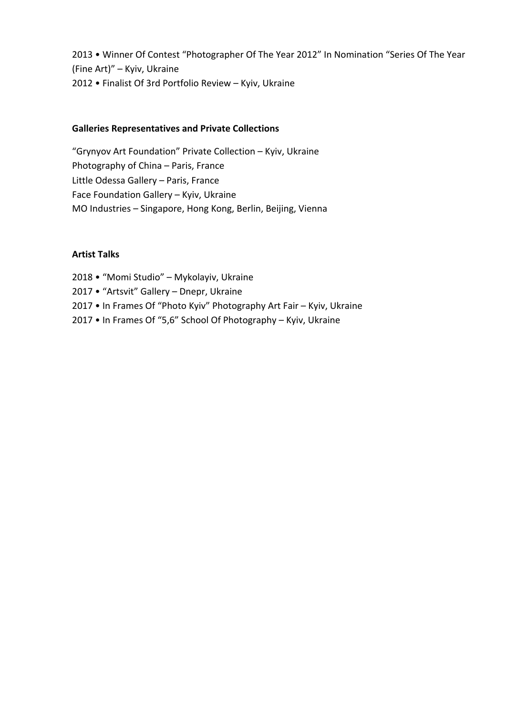2013 • Winner Of Contest "Photographer Of The Year 2012" In Nomination "Series Of The Year (Fine Art)" - Kyiv, Ukraine 2012 • Finalist Of 3rd Portfolio Review - Kyiv, Ukraine

### **Galleries Representatives and Private Collections**

"Grynyov Art Foundation" Private Collection - Kyiv, Ukraine Photography of China - Paris, France Little Odessa Gallery - Paris, France Face Foundation Gallery - Kyiv, Ukraine MO Industries - Singapore, Hong Kong, Berlin, Beijing, Vienna

### **Artist Talks**

2018 • "Momi Studio" - Mykolayiv, Ukraine 2017 • "Artsvit" Gallery - Dnepr, Ukraine 2017 • In Frames Of "Photo Kyiv" Photography Art Fair - Kyiv, Ukraine 2017 • In Frames Of "5,6" School Of Photography - Kyiv, Ukraine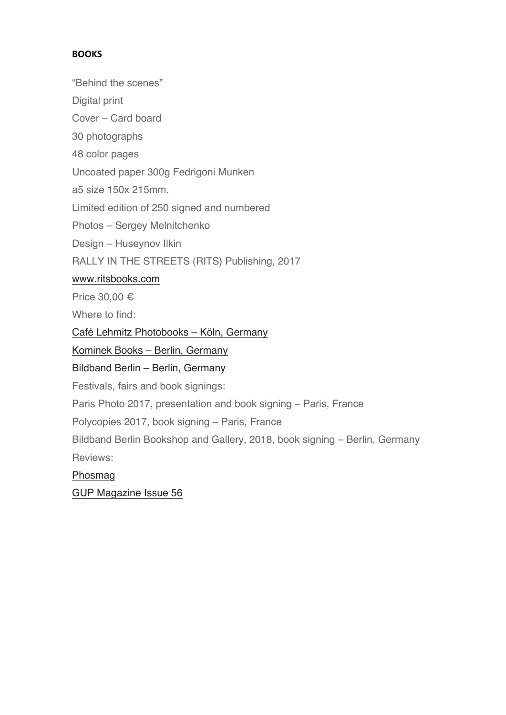# **BOOKS**

"Behind the scenes"

Digital print

Cover – Card board

30 photographs

48 color pages

Uncoated paper 300g Fedrigoni Munken

a5 size 150x 215mm.

Limited edition of 250 signed and numbered

Photos – Sergey Melnitchenko

Design – Huseynov Ilkin

RALLY IN THE STREETS (RITS) Publishing, 2017

# www.ritsbooks.com

Price 30,00 €

Where to find:

Café Lehmitz Photobooks – Köln, Germany

Kominek Books – Berlin, Germany

Bildband Berlin – Berlin, Germany

Festivals, fairs and book signings:

Paris Photo 2017, presentation and book signing – Paris, France

Polycopies 2017, book signing – Paris, France

Bildband Berlin Bookshop and Gallery, 2018, book signing – Berlin, Germany Reviews:

Phosmag

GUP Magazine Issue 56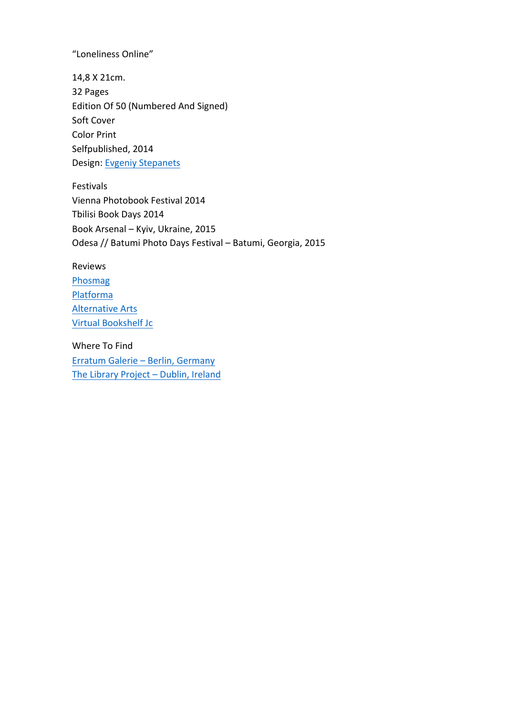"Loneliness Online"

14,8 X 21cm. 32 Pages Edition Of 50 (Numbered And Signed) Soft Cover **Color Print** Selfpublished, 2014 Design: Evgeniy Stepanets

Festivals Vienna Photobook Festival 2014 Tbilisi Book Days 2014 Book Arsenal - Kyiv, Ukraine, 2015 Odesa // Batumi Photo Days Festival - Batumi, Georgia, 2015

### Reviews

Phosmag Platforma **Alternative Arts** Virtual Bookshelf Jc

Where To Find Erratum Galerie - Berlin, Germany The Library Project - Dublin, Ireland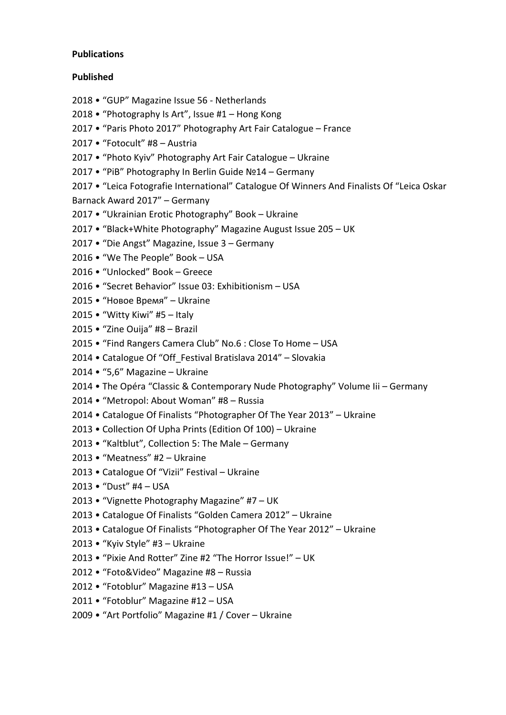### **Publications**

### **Published**

- 2018 "GUP" Magazine Issue 56 Netherlands
- 2018 "Photography Is Art", Issue  $#1 -$  Hong Kong
- 2017 "Paris Photo 2017" Photography Art Fair Catalogue France
- 2017 "Fotocult" #8 Austria
- 2017 "Photo Kyiv" Photography Art Fair Catalogue Ukraine
- 2017 "PiB" Photography In Berlin Guide Nº14 Germany
- 2017 "Leica Fotografie International" Catalogue Of Winners And Finalists Of "Leica Oskar Barnack Award 2017" - Germany
- 2017 "Ukrainian Erotic Photography" Book Ukraine
- 2017 "Black+White Photography" Magazine August Issue 205 UK
- 2017 "Die Angst" Magazine, Issue 3 Germany
- 2016 "We The People" Book USA
- 2016 · "Unlocked" Book Greece
- 2016 "Secret Behavior" Issue 03: Exhibitionism USA
- 2015 "Новое Время" Ukraine
- 2015  $\bullet$  "Witty Kiwi" #5 Italy
- 2015 "Zine Ouija" #8 Brazil
- 2015 "Find Rangers Camera Club" No.6 : Close To Home USA
- 2014 Catalogue Of "Off Festival Bratislava 2014" Slovakia
- $2014 "5,6" Magazine Ukraine$
- 2014 The Opéra "Classic & Contemporary Nude Photography" Volume lii Germany
- 2014 "Metropol: About Woman" #8 Russia
- 2014 Catalogue Of Finalists "Photographer Of The Year 2013" Ukraine
- 2013 Collection Of Upha Prints (Edition Of 100) Ukraine
- 2013 "Kaltblut", Collection 5: The Male Germany
- 2013 "Meatness" #2 Ukraine
- 2013 Catalogue Of "Vizii" Festival Ukraine
- 2013 "Dust" #4 USA
- 2013 "Vignette Photography Magazine" #7 UK
- 2013 Catalogue Of Finalists "Golden Camera 2012" Ukraine
- 2013 Catalogue Of Finalists "Photographer Of The Year 2012" Ukraine
- 2013 "Kyiv Style" #3 Ukraine
- 2013 "Pixie And Rotter" Zine #2 "The Horror Issue!" UK
- 2012 "Foto&Video" Magazine #8 Russia
- 2012 "Fotoblur" Magazine #13 USA
- 2011 "Fotoblur" Magazine #12 USA
- 2009 "Art Portfolio" Magazine #1 / Cover Ukraine